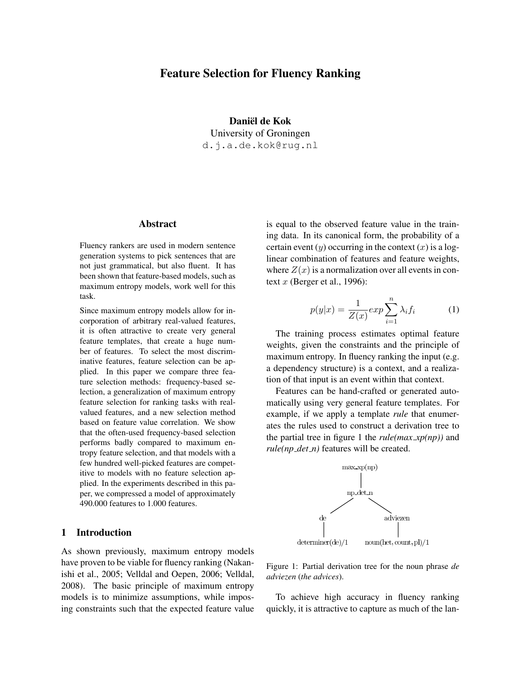# Feature Selection for Fluency Ranking

Daniël de Kok University of Groningen d.j.a.de.kok@rug.nl

## Abstract

Fluency rankers are used in modern sentence generation systems to pick sentences that are not just grammatical, but also fluent. It has been shown that feature-based models, such as maximum entropy models, work well for this task.

Since maximum entropy models allow for incorporation of arbitrary real-valued features, it is often attractive to create very general feature templates, that create a huge number of features. To select the most discriminative features, feature selection can be applied. In this paper we compare three feature selection methods: frequency-based selection, a generalization of maximum entropy feature selection for ranking tasks with realvalued features, and a new selection method based on feature value correlation. We show that the often-used frequency-based selection performs badly compared to maximum entropy feature selection, and that models with a few hundred well-picked features are competitive to models with no feature selection applied. In the experiments described in this paper, we compressed a model of approximately 490.000 features to 1.000 features.

## 1 Introduction

As shown previously, maximum entropy models have proven to be viable for fluency ranking (Nakanishi et al., 2005; Velldal and Oepen, 2006; Velldal, 2008). The basic principle of maximum entropy models is to minimize assumptions, while imposing constraints such that the expected feature value

is equal to the observed feature value in the training data. In its canonical form, the probability of a certain event  $(y)$  occurring in the context  $(x)$  is a loglinear combination of features and feature weights, where  $Z(x)$  is a normalization over all events in context  $x$  (Berger et al., 1996):

$$
p(y|x) = \frac{1}{Z(x)} \exp \sum_{i=1}^{n} \lambda_i f_i \tag{1}
$$

The training process estimates optimal feature weights, given the constraints and the principle of maximum entropy. In fluency ranking the input (e.g. a dependency structure) is a context, and a realization of that input is an event within that context.

Features can be hand-crafted or generated automatically using very general feature templates. For example, if we apply a template *rule* that enumerates the rules used to construct a derivation tree to the partial tree in figure 1 the *rule(max xp(np))* and *rule(np det n)* features will be created.



Figure 1: Partial derivation tree for the noun phrase *de adviezen* (*the advices*).

To achieve high accuracy in fluency ranking quickly, it is attractive to capture as much of the lan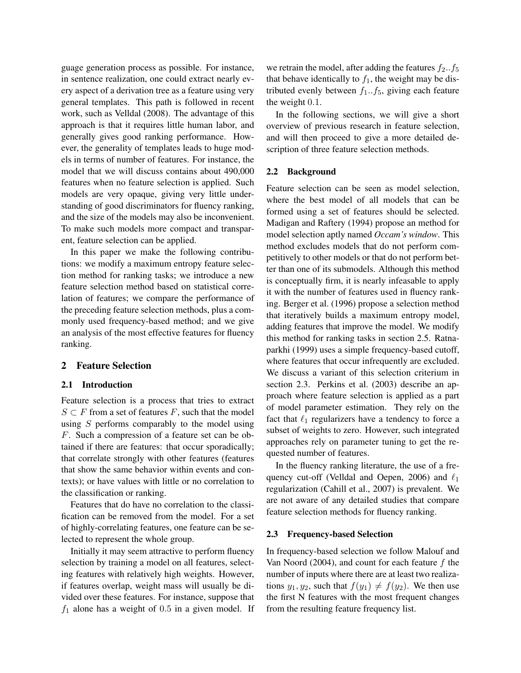guage generation process as possible. For instance, in sentence realization, one could extract nearly every aspect of a derivation tree as a feature using very general templates. This path is followed in recent work, such as Velldal (2008). The advantage of this approach is that it requires little human labor, and generally gives good ranking performance. However, the generality of templates leads to huge models in terms of number of features. For instance, the model that we will discuss contains about 490,000 features when no feature selection is applied. Such models are very opaque, giving very little understanding of good discriminators for fluency ranking, and the size of the models may also be inconvenient. To make such models more compact and transparent, feature selection can be applied.

In this paper we make the following contributions: we modify a maximum entropy feature selection method for ranking tasks; we introduce a new feature selection method based on statistical correlation of features; we compare the performance of the preceding feature selection methods, plus a commonly used frequency-based method; and we give an analysis of the most effective features for fluency ranking.

## 2 Feature Selection

## 2.1 Introduction

Feature selection is a process that tries to extract  $S \subset F$  from a set of features F, such that the model using  $S$  performs comparably to the model using F. Such a compression of a feature set can be obtained if there are features: that occur sporadically; that correlate strongly with other features (features that show the same behavior within events and contexts); or have values with little or no correlation to the classification or ranking.

Features that do have no correlation to the classification can be removed from the model. For a set of highly-correlating features, one feature can be selected to represent the whole group.

Initially it may seem attractive to perform fluency selection by training a model on all features, selecting features with relatively high weights. However, if features overlap, weight mass will usually be divided over these features. For instance, suppose that  $f_1$  alone has a weight of 0.5 in a given model. If we retrain the model, after adding the features  $f_2 \cdot f_5$ that behave identically to  $f_1$ , the weight may be distributed evenly between  $f_1..f_5$ , giving each feature the weight 0.1.

In the following sections, we will give a short overview of previous research in feature selection, and will then proceed to give a more detailed description of three feature selection methods.

#### 2.2 Background

Feature selection can be seen as model selection, where the best model of all models that can be formed using a set of features should be selected. Madigan and Raftery (1994) propose an method for model selection aptly named *Occam's window*. This method excludes models that do not perform competitively to other models or that do not perform better than one of its submodels. Although this method is conceptually firm, it is nearly infeasable to apply it with the number of features used in fluency ranking. Berger et al. (1996) propose a selection method that iteratively builds a maximum entropy model, adding features that improve the model. We modify this method for ranking tasks in section 2.5. Ratnaparkhi (1999) uses a simple frequency-based cutoff, where features that occur infrequently are excluded. We discuss a variant of this selection criterium in section 2.3. Perkins et al. (2003) describe an approach where feature selection is applied as a part of model parameter estimation. They rely on the fact that  $\ell_1$  regularizers have a tendency to force a subset of weights to zero. However, such integrated approaches rely on parameter tuning to get the requested number of features.

In the fluency ranking literature, the use of a frequency cut-off (Velldal and Oepen, 2006) and  $\ell_1$ regularization (Cahill et al., 2007) is prevalent. We are not aware of any detailed studies that compare feature selection methods for fluency ranking.

### 2.3 Frequency-based Selection

In frequency-based selection we follow Malouf and Van Noord (2004), and count for each feature  $f$  the number of inputs where there are at least two realizations  $y_1, y_2$ , such that  $f(y_1) \neq f(y_2)$ . We then use the first N features with the most frequent changes from the resulting feature frequency list.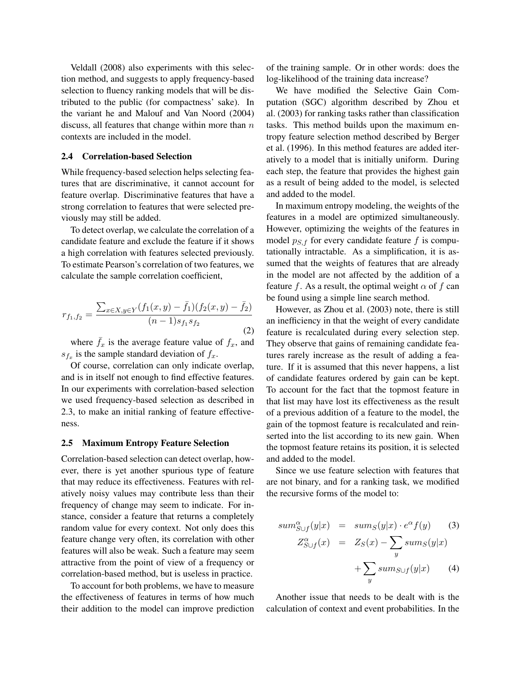Veldall (2008) also experiments with this selection method, and suggests to apply frequency-based selection to fluency ranking models that will be distributed to the public (for compactness' sake). In the variant he and Malouf and Van Noord (2004) discuss, all features that change within more than  $n$ contexts are included in the model.

#### 2.4 Correlation-based Selection

While frequency-based selection helps selecting features that are discriminative, it cannot account for feature overlap. Discriminative features that have a strong correlation to features that were selected previously may still be added.

To detect overlap, we calculate the correlation of a candidate feature and exclude the feature if it shows a high correlation with features selected previously. To estimate Pearson's correlation of two features, we calculate the sample correlation coefficient,

$$
r_{f_1, f_2} = \frac{\sum_{x \in X, y \in Y} (f_1(x, y) - \bar{f}_1)(f_2(x, y) - \bar{f}_2)}{(n - 1)s_{f_1}s_{f_2}}
$$
(2)

where  $f_x$  is the average feature value of  $f_x$ , and  $s_{f_x}$  is the sample standard deviation of  $f_x$ .

Of course, correlation can only indicate overlap, and is in itself not enough to find effective features. In our experiments with correlation-based selection we used frequency-based selection as described in 2.3, to make an initial ranking of feature effectiveness.

#### 2.5 Maximum Entropy Feature Selection

Correlation-based selection can detect overlap, however, there is yet another spurious type of feature that may reduce its effectiveness. Features with relatively noisy values may contribute less than their frequency of change may seem to indicate. For instance, consider a feature that returns a completely random value for every context. Not only does this feature change very often, its correlation with other features will also be weak. Such a feature may seem attractive from the point of view of a frequency or correlation-based method, but is useless in practice.

To account for both problems, we have to measure the effectiveness of features in terms of how much their addition to the model can improve prediction of the training sample. Or in other words: does the log-likelihood of the training data increase?

We have modified the Selective Gain Computation (SGC) algorithm described by Zhou et al. (2003) for ranking tasks rather than classification tasks. This method builds upon the maximum entropy feature selection method described by Berger et al. (1996). In this method features are added iteratively to a model that is initially uniform. During each step, the feature that provides the highest gain as a result of being added to the model, is selected and added to the model.

In maximum entropy modeling, the weights of the features in a model are optimized simultaneously. However, optimizing the weights of the features in model  $p_{S,f}$  for every candidate feature f is computationally intractable. As a simplification, it is assumed that the weights of features that are already in the model are not affected by the addition of a feature f. As a result, the optimal weight  $\alpha$  of f can be found using a simple line search method.

However, as Zhou et al. (2003) note, there is still an inefficiency in that the weight of every candidate feature is recalculated during every selection step. They observe that gains of remaining candidate features rarely increase as the result of adding a feature. If it is assumed that this never happens, a list of candidate features ordered by gain can be kept. To account for the fact that the topmost feature in that list may have lost its effectiveness as the result of a previous addition of a feature to the model, the gain of the topmost feature is recalculated and reinserted into the list according to its new gain. When the topmost feature retains its position, it is selected and added to the model.

Since we use feature selection with features that are not binary, and for a ranking task, we modified the recursive forms of the model to:

$$
sum_{S \cup f}^{\alpha}(y|x) = sum_{S}(y|x) \cdot e^{\alpha} f(y) \qquad (3)
$$
  

$$
Z_{S \cup f}^{\alpha}(x) = Z_{S}(x) - \sum_{y} sum_{S \cup f}(y|x) + \sum_{y} sum_{S \cup f}(y|x) \qquad (4)
$$

Another issue that needs to be dealt with is the calculation of context and event probabilities. In the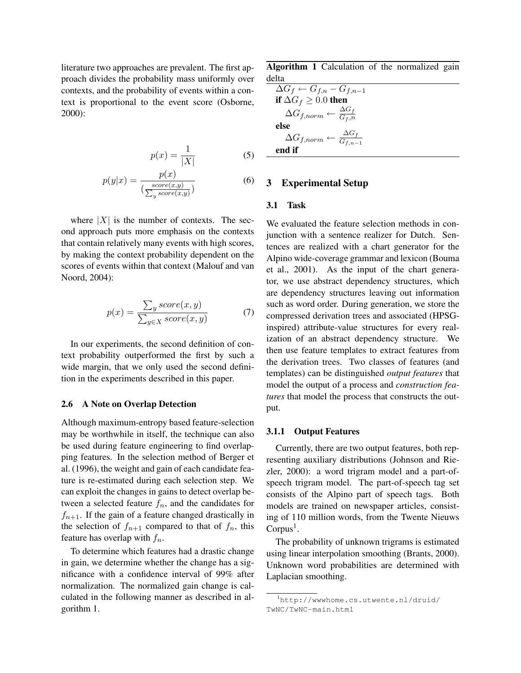literature two approaches are prevalent. The first approach divides the probability mass uniformly over contexts, and the probability of events within a context is proportional to the event score (Osborne, 2000):

$$
p(x) = \frac{1}{|X|} \tag{5}
$$

$$
p(y|x) = \frac{p(x)}{\left(\frac{score(x,y)}{\sum_{y}score(x,y)}\right)}
$$
(6)

where  $|X|$  is the number of contexts. The second approach puts more emphasis on the contexts that contain relatively many events with high scores, by making the context probability dependent on the scores of events within that context (Malouf and van Noord, 2004):

$$
p(x) = \frac{\sum_{y} score(x, y)}{\sum_{y \in X} score(x, y)}
$$
(7)

In our experiments, the second definition of context probability outperformed the first by such a wide margin, that we only used the second definition in the experiments described in this paper.

## 2.6 A Note on Overlap Detection

Although maximum-entropy based feature-selection may be worthwhile in itself, the technique can also be used during feature engineering to find overlapping features. In the selection method of Berger et al. (1996), the weight and gain of each candidate feature is re-estimated during each selection step. We can exploit the changes in gains to detect overlap between a selected feature  $f_n$ , and the candidates for  $f_{n+1}$ . If the gain of a feature changed drastically in the selection of  $f_{n+1}$  compared to that of  $f_n$ , this feature has overlap with  $f_n$ .

To determine which features had a drastic change in gain, we determine whether the change has a significance with a confidence interval of 99% after normalization. The normalized gain change is calculated in the following manner as described in algorithm 1.

Algorithm 1 Calculation of the normalized gain delta

$$
\Delta G_f \leftarrow G_{f,n} - G_{f,n-1}
$$
  
if  $\Delta G_f \geq 0.0$  then  

$$
\Delta G_{f,norm} \leftarrow \frac{\Delta G_f}{G_{f,n}}
$$
  
else  

$$
\Delta G_{f,norm} \leftarrow \frac{\Delta G_f}{G_{f,n-1}}
$$
  
end if

### 3 Experimental Setup

## 3.1 Task

We evaluated the feature selection methods in conjunction with a sentence realizer for Dutch. Sentences are realized with a chart generator for the Alpino wide-coverage grammar and lexicon (Bouma et al., 2001). As the input of the chart generator, we use abstract dependency structures, which are dependency structures leaving out information such as word order. During generation, we store the compressed derivation trees and associated (HPSGinspired) attribute-value structures for every realization of an abstract dependency structure. We then use feature templates to extract features from the derivation trees. Two classes of features (and templates) can be distinguished *output features* that model the output of a process and *construction features* that model the process that constructs the output.

#### 3.1.1 Output Features

Currently, there are two output features, both representing auxiliary distributions (Johnson and Riezler, 2000): a word trigram model and a part-ofspeech trigram model. The part-of-speech tag set consists of the Alpino part of speech tags. Both models are trained on newspaper articles, consisting of 110 million words, from the Twente Nieuws  $Corpus<sup>1</sup>$ .

The probability of unknown trigrams is estimated using linear interpolation smoothing (Brants, 2000). Unknown word probabilities are determined with Laplacian smoothing.

<sup>1</sup>http://wwwhome.cs.utwente.nl/druid/ TwNC/TwNC-main.html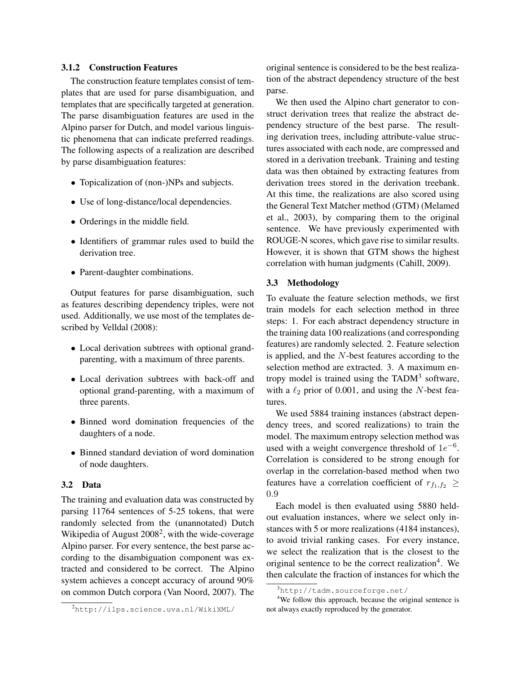## 3.1.2 Construction Features

The construction feature templates consist of templates that are used for parse disambiguation, and templates that are specifically targeted at generation. The parse disambiguation features are used in the Alpino parser for Dutch, and model various linguistic phenomena that can indicate preferred readings. The following aspects of a realization are described by parse disambiguation features:

- Topicalization of (non-)NPs and subjects.
- Use of long-distance/local dependencies.
- Orderings in the middle field.
- Identifiers of grammar rules used to build the derivation tree.
- Parent-daughter combinations.

Output features for parse disambiguation, such as features describing dependency triples, were not used. Additionally, we use most of the templates described by Velldal (2008):

- Local derivation subtrees with optional grandparenting, with a maximum of three parents.
- Local derivation subtrees with back-off and optional grand-parenting, with a maximum of three parents.
- Binned word domination frequencies of the daughters of a node.
- Binned standard deviation of word domination of node daughters.

#### 3.2 Data

The training and evaluation data was constructed by parsing 11764 sentences of 5-25 tokens, that were randomly selected from the (unannotated) Dutch Wikipedia of August  $2008^2$ , with the wide-coverage Alpino parser. For every sentence, the best parse according to the disambiguation component was extracted and considered to be correct. The Alpino system achieves a concept accuracy of around 90% on common Dutch corpora (Van Noord, 2007). The original sentence is considered to be the best realization of the abstract dependency structure of the best parse.

We then used the Alpino chart generator to construct derivation trees that realize the abstract dependency structure of the best parse. The resulting derivation trees, including attribute-value structures associated with each node, are compressed and stored in a derivation treebank. Training and testing data was then obtained by extracting features from derivation trees stored in the derivation treebank. At this time, the realizations are also scored using the General Text Matcher method (GTM) (Melamed et al., 2003), by comparing them to the original sentence. We have previously experimented with ROUGE-N scores, which gave rise to similar results. However, it is shown that GTM shows the highest correlation with human judgments (Cahill, 2009).

### 3.3 Methodology

To evaluate the feature selection methods, we first train models for each selection method in three steps: 1. For each abstract dependency structure in the training data 100 realizations (and corresponding features) are randomly selected. 2. Feature selection is applied, and the N-best features according to the selection method are extracted. 3. A maximum entropy model is trained using the TAD $M<sup>3</sup>$  software, with a  $\ell_2$  prior of 0.001, and using the N-best features.

We used 5884 training instances (abstract dependency trees, and scored realizations) to train the model. The maximum entropy selection method was used with a weight convergence threshold of  $1e^{-6}$ . Correlation is considered to be strong enough for overlap in the correlation-based method when two features have a correlation coefficient of  $r_{f_1,f_2} \geq$ 0.9

Each model is then evaluated using 5880 heldout evaluation instances, where we select only instances with 5 or more realizations (4184 instances), to avoid trivial ranking cases. For every instance, we select the realization that is the closest to the original sentence to be the correct realization<sup>4</sup>. We then calculate the fraction of instances for which the

<sup>2</sup>http://ilps.science.uva.nl/WikiXML/

 $3$ http://tadm.sourceforge.net/

<sup>&</sup>lt;sup>4</sup>We follow this approach, because the original sentence is not always exactly reproduced by the generator.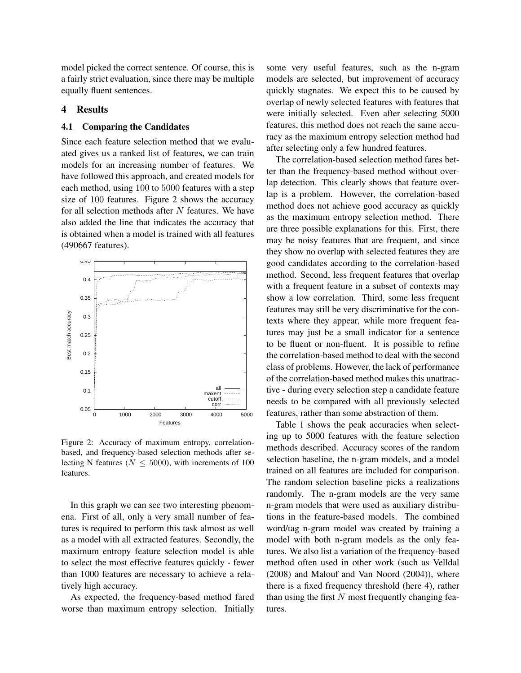model picked the correct sentence. Of course, this is a fairly strict evaluation, since there may be multiple equally fluent sentences.

## 4 Results

### 4.1 Comparing the Candidates

Since each feature selection method that we evaluated gives us a ranked list of features, we can train models for an increasing number of features. We have followed this approach, and created models for each method, using 100 to 5000 features with a step size of 100 features. Figure 2 shows the accuracy for all selection methods after  $N$  features. We have also added the line that indicates the accuracy that is obtained when a model is trained with all features (490667 features).



Figure 2: Accuracy of maximum entropy, correlationbased, and frequency-based selection methods after selecting N features ( $N \leq 5000$ ), with increments of 100 features.

In this graph we can see two interesting phenomena. First of all, only a very small number of features is required to perform this task almost as well as a model with all extracted features. Secondly, the maximum entropy feature selection model is able to select the most effective features quickly - fewer than 1000 features are necessary to achieve a relatively high accuracy.

As expected, the frequency-based method fared worse than maximum entropy selection. Initially

some very useful features, such as the n-gram models are selected, but improvement of accuracy quickly stagnates. We expect this to be caused by overlap of newly selected features with features that were initially selected. Even after selecting 5000 features, this method does not reach the same accuracy as the maximum entropy selection method had after selecting only a few hundred features.

The correlation-based selection method fares better than the frequency-based method without overlap detection. This clearly shows that feature overlap is a problem. However, the correlation-based method does not achieve good accuracy as quickly as the maximum entropy selection method. There are three possible explanations for this. First, there may be noisy features that are frequent, and since they show no overlap with selected features they are good candidates according to the correlation-based method. Second, less frequent features that overlap with a frequent feature in a subset of contexts may show a low correlation. Third, some less frequent features may still be very discriminative for the contexts where they appear, while more frequent features may just be a small indicator for a sentence to be fluent or non-fluent. It is possible to refine the correlation-based method to deal with the second class of problems. However, the lack of performance of the correlation-based method makes this unattractive - during every selection step a candidate feature needs to be compared with all previously selected features, rather than some abstraction of them.

Table 1 shows the peak accuracies when selecting up to 5000 features with the feature selection methods described. Accuracy scores of the random selection baseline, the n-gram models, and a model trained on all features are included for comparison. The random selection baseline picks a realizations randomly. The n-gram models are the very same n-gram models that were used as auxiliary distributions in the feature-based models. The combined word/tag n-gram model was created by training a model with both n-gram models as the only features. We also list a variation of the frequency-based method often used in other work (such as Velldal (2008) and Malouf and Van Noord (2004)), where there is a fixed frequency threshold (here 4), rather than using the first  $N$  most frequently changing features.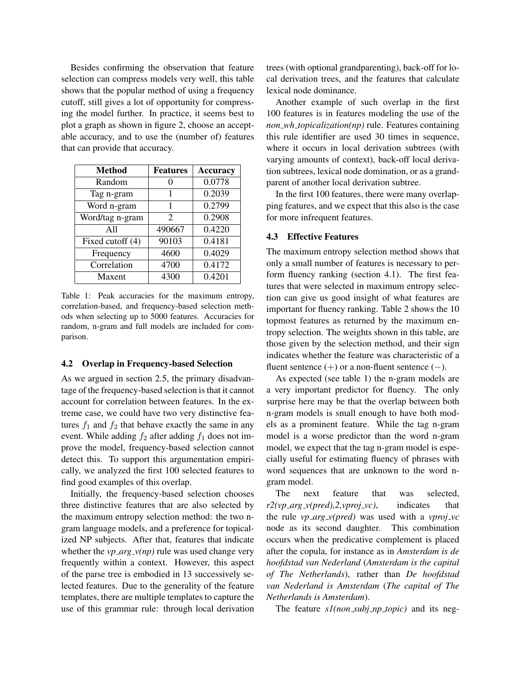Besides confirming the observation that feature selection can compress models very well, this table shows that the popular method of using a frequency cutoff, still gives a lot of opportunity for compressing the model further. In practice, it seems best to plot a graph as shown in figure 2, choose an acceptable accuracy, and to use the (number of) features that can provide that accuracy.

| <b>Method</b>    | <b>Features</b>             | <b>Accuracy</b> |
|------------------|-----------------------------|-----------------|
| Random           |                             | 0.0778          |
| Tag n-gram       | 1                           | 0.2039          |
| Word n-gram      | 1                           | 0.2799          |
| Word/tag n-gram  | $\mathcal{D}_{\mathcal{A}}$ | 0.2908          |
| A11              | 490667                      | 0.4220          |
| Fixed cutoff (4) | 90103                       | 0.4181          |
| Frequency        | 4600                        | 0.4029          |
| Correlation      | 4700                        | 0.4172          |
| Maxent           | 4300                        | 0.4201          |

Table 1: Peak accuracies for the maximum entropy, correlation-based, and frequency-based selection methods when selecting up to 5000 features. Accuracies for random, n-gram and full models are included for comparison.

### 4.2 Overlap in Frequency-based Selection

As we argued in section 2.5, the primary disadvantage of the frequency-based selection is that it cannot account for correlation between features. In the extreme case, we could have two very distinctive features  $f_1$  and  $f_2$  that behave exactly the same in any event. While adding  $f_2$  after adding  $f_1$  does not improve the model, frequency-based selection cannot detect this. To support this argumentation empirically, we analyzed the first 100 selected features to find good examples of this overlap.

Initially, the frequency-based selection chooses three distinctive features that are also selected by the maximum entropy selection method: the two ngram language models, and a preference for topicalized NP subjects. After that, features that indicate whether the  $vp\_\text{arg_v}(np)$  rule was used change very frequently within a context. However, this aspect of the parse tree is embodied in 13 successively selected features. Due to the generality of the feature templates, there are multiple templates to capture the use of this grammar rule: through local derivation trees (with optional grandparenting), back-off for local derivation trees, and the features that calculate lexical node dominance.

Another example of such overlap in the first 100 features is in features modeling the use of the *non wh topicalization(np)* rule. Features containing this rule identifier are used 30 times in sequence, where it occurs in local derivation subtrees (with varying amounts of context), back-off local derivation subtrees, lexical node domination, or as a grandparent of another local derivation subtree.

In the first 100 features, there were many overlapping features, and we expect that this also is the case for more infrequent features.

#### 4.3 Effective Features

The maximum entropy selection method shows that only a small number of features is necessary to perform fluency ranking (section 4.1). The first features that were selected in maximum entropy selection can give us good insight of what features are important for fluency ranking. Table 2 shows the 10 topmost features as returned by the maximum entropy selection. The weights shown in this table, are those given by the selection method, and their sign indicates whether the feature was characteristic of a fluent sentence  $(+)$  or a non-fluent sentence  $(-)$ .

As expected (see table 1) the n-gram models are a very important predictor for fluency. The only surprise here may be that the overlap between both n-gram models is small enough to have both models as a prominent feature. While the tag n-gram model is a worse predictor than the word n-gram model, we expect that the tag n-gram model is especially useful for estimating fluency of phrases with word sequences that are unknown to the word ngram model.

The next feature that was selected,  $r2(vp\_{arg_v(vpred)},2,vproj_v(c),$  indicates that the rule *vp arg v(pred)* was used with a *vproj vc* node as its second daughter. This combination occurs when the predicative complement is placed after the copula, for instance as in *Amsterdam is de hoofdstad van Nederland* (*Amsterdam is the capital of The Netherlands*), rather than *De hoofdstad van Nederland is Amsterdam* (*The capital of The Netherlands is Amsterdam*).

The feature *s1(non subj np topic)* and its neg-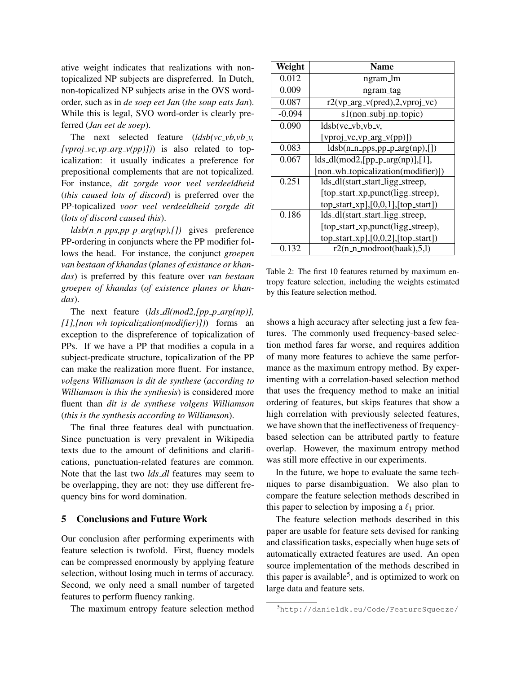ative weight indicates that realizations with nontopicalized NP subjects are dispreferred. In Dutch, non-topicalized NP subjects arise in the OVS wordorder, such as in *de soep eet Jan* (*the soup eats Jan*). While this is legal, SVO word-order is clearly preferred (*Jan eet de soep*).

The next selected feature  $(ldsb(vc_vb,vb_v,$  $(pproj_v, vp_ary_v(pp))$  is also related to topicalization: it usually indicates a preference for prepositional complements that are not topicalized. For instance, *dit zorgde voor veel verdeeldheid* (*this caused lots of discord*) is preferred over the PP-topicalized *voor veel verdeeldheid zorgde dit* (*lots of discord caused this*).

 $ldsb(n_n-pps,pp_p-arg(np),[1]$  gives preference PP-ordering in conjuncts where the PP modifier follows the head. For instance, the conjunct *groepen van bestaan of khandas*(*planes of existance or khandas*) is preferred by this feature over *van bestaan groepen of khandas* (*of existence planes or khandas*).

The next feature (*lds dl(mod2,[pp p arg(np)], [1],[non wh topicalization(modifier)])*) forms an exception to the dispreference of topicalization of PPs. If we have a PP that modifies a copula in a subject-predicate structure, topicalization of the PP can make the realization more fluent. For instance, *volgens Williamson is dit de synthese* (*according to Williamson is this the synthesis*) is considered more fluent than *dit is de synthese volgens Williamson* (*this is the synthesis according to Williamson*).

The final three features deal with punctuation. Since punctuation is very prevalent in Wikipedia texts due to the amount of definitions and clarifications, punctuation-related features are common. Note that the last two *lds dl* features may seem to be overlapping, they are not: they use different frequency bins for word domination.

## 5 Conclusions and Future Work

Our conclusion after performing experiments with feature selection is twofold. First, fluency models can be compressed enormously by applying feature selection, without losing much in terms of accuracy. Second, we only need a small number of targeted features to perform fluency ranking.

The maximum entropy feature selection method

| Weight   | <b>Name</b>                                      |  |
|----------|--------------------------------------------------|--|
| 0.012    | ngram_lm                                         |  |
| 0.009    | ngram_tag                                        |  |
| 0.087    | $r2(vp_arg_v(pred), 2, vproj_vc)$                |  |
| $-0.094$ | s1(non_subj_np_topic)                            |  |
| 0.090    | $ldsb$ (vc_vb, vb_v,                             |  |
|          | [vproj_vc,vp_arg_v(pp)])                         |  |
| 0.083    | $ldsb(n_n-pps,pp_p_arg(np),[]$                   |  |
| 0.067    | $lds_dl(mod2, [pp_p_aarg(np)], [1],$             |  |
|          | [non_wh_topicalization(modifier)])               |  |
| 0.251    | lds_dl(start_start_ligg_streep,                  |  |
|          | [top_start_xp,punct(ligg_streep),                |  |
|          | $top\_start\_xp$ ], $[0,0,1]$ , $[top\_start]$ ) |  |
| 0.186    | lds_dl(start_start_ligg_streep,                  |  |
|          | [top_start_xp,punct(ligg_streep),                |  |
|          | $top\_start\_xp$ ], $[0,0,2]$ , $[top\_start]$ ) |  |
| 0.132    | $r2(n_n$ _modroot(haak),5,1)                     |  |

Table 2: The first 10 features returned by maximum entropy feature selection, including the weights estimated by this feature selection method.

shows a high accuracy after selecting just a few features. The commonly used frequency-based selection method fares far worse, and requires addition of many more features to achieve the same performance as the maximum entropy method. By experimenting with a correlation-based selection method that uses the frequency method to make an initial ordering of features, but skips features that show a high correlation with previously selected features, we have shown that the ineffectiveness of frequencybased selection can be attributed partly to feature overlap. However, the maximum entropy method was still more effective in our experiments.

In the future, we hope to evaluate the same techniques to parse disambiguation. We also plan to compare the feature selection methods described in this paper to selection by imposing a  $\ell_1$  prior.

The feature selection methods described in this paper are usable for feature sets devised for ranking and classification tasks, especially when huge sets of automatically extracted features are used. An open source implementation of the methods described in this paper is available<sup>5</sup>, and is optimized to work on large data and feature sets.

<sup>5</sup>http://danieldk.eu/Code/FeatureSqueeze/